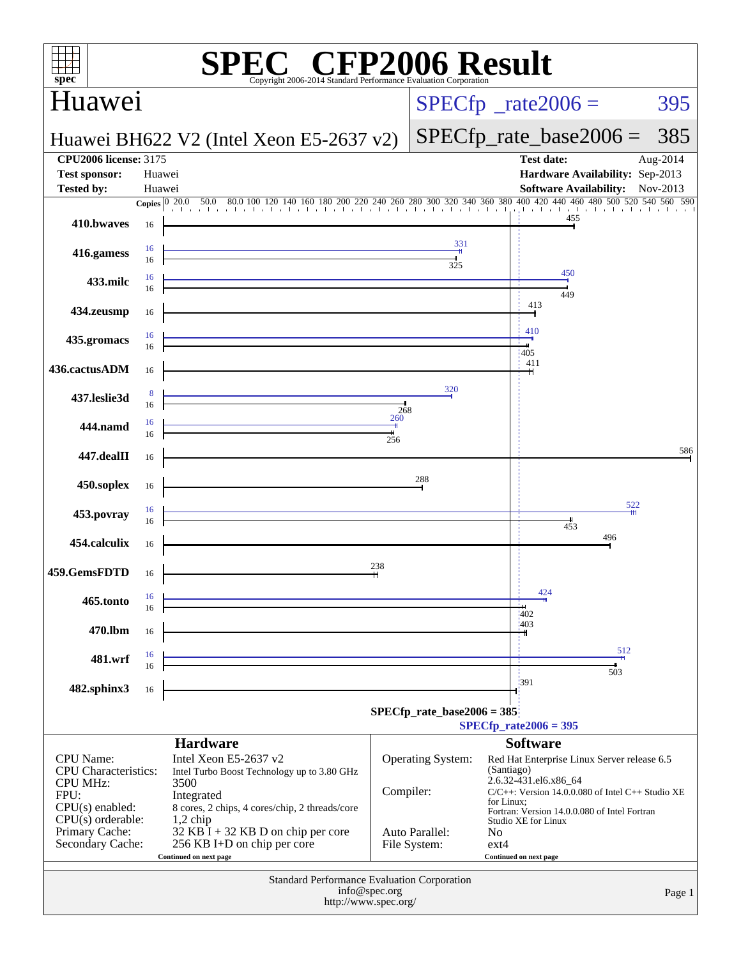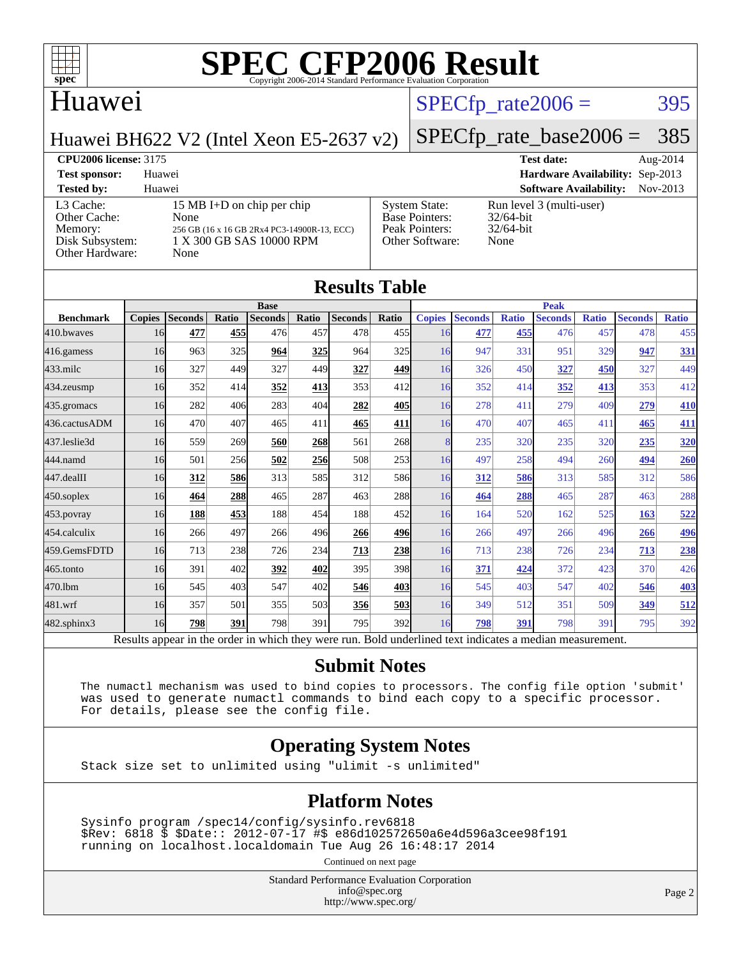

### Huawei

#### $SPECTp_rate2006 = 395$

Huawei BH622 V2 (Intel Xeon E5-2637 v2)

[SPECfp\\_rate\\_base2006 =](http://www.spec.org/auto/cpu2006/Docs/result-fields.html#SPECfpratebase2006) 385

**[CPU2006 license:](http://www.spec.org/auto/cpu2006/Docs/result-fields.html#CPU2006license)** 3175 **[Test date:](http://www.spec.org/auto/cpu2006/Docs/result-fields.html#Testdate)** Aug-2014 **[Test sponsor:](http://www.spec.org/auto/cpu2006/Docs/result-fields.html#Testsponsor)** Huawei **[Hardware Availability:](http://www.spec.org/auto/cpu2006/Docs/result-fields.html#HardwareAvailability)** Sep-2013

| <b>Tested by:</b>                                                          | Huawei                                                                                                                |                                                                                    | <b>Software Availability:</b> Nov-2013                           |  |
|----------------------------------------------------------------------------|-----------------------------------------------------------------------------------------------------------------------|------------------------------------------------------------------------------------|------------------------------------------------------------------|--|
| L3 Cache:<br>Other Cache:<br>Memory:<br>Disk Subsystem:<br>Other Hardware: | 15 MB I+D on chip per chip<br>None<br>256 GB (16 x 16 GB 2Rx4 PC3-14900R-13, ECC)<br>1 X 300 GB SAS 10000 RPM<br>None | <b>System State:</b><br><b>Base Pointers:</b><br>Peak Pointers:<br>Other Software: | Run level 3 (multi-user)<br>$32/64$ -bit<br>$32/64$ -bit<br>None |  |
|                                                                            |                                                                                                                       |                                                                                    |                                                                  |  |

| <b>Results Table</b> |               |                |       |                |       |                |       |               |                |              |                |              |                |              |
|----------------------|---------------|----------------|-------|----------------|-------|----------------|-------|---------------|----------------|--------------|----------------|--------------|----------------|--------------|
| <b>Base</b>          |               |                |       |                |       |                |       | <b>Peak</b>   |                |              |                |              |                |              |
| <b>Benchmark</b>     | <b>Copies</b> | <b>Seconds</b> | Ratio | <b>Seconds</b> | Ratio | <b>Seconds</b> | Ratio | <b>Copies</b> | <b>Seconds</b> | <b>Ratio</b> | <b>Seconds</b> | <b>Ratio</b> | <b>Seconds</b> | <b>Ratio</b> |
| 410.bwayes           | 16            | 477            | 455   | 476            | 457   | 478            | 455   | 16            | 477            | 455          | 476            | 457          | 478            | 455          |
| 416.gamess           | 16            | 963            | 325   | 964            | 325   | 964            | 325   | 16            | 947            | 331          | 951            | 329          | 947            | 331          |
| 433.milc             | 16            | 327            | 449   | 327            | 449   | 327            | 449   | 16            | 326            | 450          | 327            | 450          | 327            | 449          |
| 434.zeusmp           | 16            | 352            | 414   | 352            | 413   | 353            | 412   | 16            | 352            | 414          | 352            | 413          | 353            | 412          |
| 435.gromacs          | 16            | 282            | 406   | 283            | 404   | 282            | 405   | 16            | 278            | 411          | 279            | 409          | 279            | 410          |
| 436.cactusADM        | 16            | 470            | 407   | 465            | 411   | 465            | 411   | 16            | 470            | 407          | 465            | 411          | 465            | 411          |
| 437.leslie3d         | 16            | 559            | 269   | 560            | 268   | 561            | 268   | 8             | 235            | 320          | 235            | 320          | 235            | 320          |
| 444.namd             | 16            | 501            | 256   | 502            | 256   | 508            | 253   | 16            | 497            | 258          | 494            | 260          | 494            | 260          |
| 447.dealII           | 16            | 312            | 586   | 313            | 585   | 312            | 586   | 16            | 312            | 586          | 313            | 585          | 312            | 586          |
| 450.soplex           | 16            | 464            | 288   | 465            | 287   | 463            | 288   | 16            | 464            | 288          | 465            | 287          | 463            | 288          |
| 453.povray           | 16            | 188            | 453   | 188            | 454   | 188            | 452   | 16            | 164            | 520          | 162            | 525          | 163            | 522          |
| 454.calculix         | 16            | 266            | 497   | 266            | 496   | 266            | 496   | 16            | 266            | 497          | 266            | 496          | 266            | 496          |
| 459.GemsFDTD         | 16            | 713            | 238   | 726            | 234   | 713            | 238   | 16            | 713            | 238          | 726            | 234          | 713            | 238          |
| 465.tonto            | 16            | 391            | 402   | 392            | 402   | 395            | 398   | 16            | 371            | 424          | 372            | 423          | 370            | 426          |
| 470.1bm              | 16            | 545            | 403   | 547            | 402   | 546            | 403   | 16            | 545            | 403          | 547            | 402          | 546            | 403          |
| 481.wrf              | 16            | 357            | 501   | 355            | 503   | 356            | 503   | 16            | 349            | 512          | 351            | 509          | 349            | 512          |
| 482.sphinx3          | 16            | 798            | 391   | 798            | 391   | 795            | 392   | 16            | 798            | 391          | 798            | 391          | 795            | 392          |

Results appear in the [order in which they were run.](http://www.spec.org/auto/cpu2006/Docs/result-fields.html#RunOrder) Bold underlined text [indicates a median measurement.](http://www.spec.org/auto/cpu2006/Docs/result-fields.html#Median)

#### **[Submit Notes](http://www.spec.org/auto/cpu2006/Docs/result-fields.html#SubmitNotes)**

 The numactl mechanism was used to bind copies to processors. The config file option 'submit' was used to generate numactl commands to bind each copy to a specific processor. For details, please see the config file.

#### **[Operating System Notes](http://www.spec.org/auto/cpu2006/Docs/result-fields.html#OperatingSystemNotes)**

Stack size set to unlimited using "ulimit -s unlimited"

#### **[Platform Notes](http://www.spec.org/auto/cpu2006/Docs/result-fields.html#PlatformNotes)**

 Sysinfo program /spec14/config/sysinfo.rev6818 \$Rev: 6818 \$ \$Date:: 2012-07-17 #\$ e86d102572650a6e4d596a3cee98f191 running on localhost.localdomain Tue Aug 26 16:48:17 2014

Continued on next page

Standard Performance Evaluation Corporation [info@spec.org](mailto:info@spec.org) <http://www.spec.org/>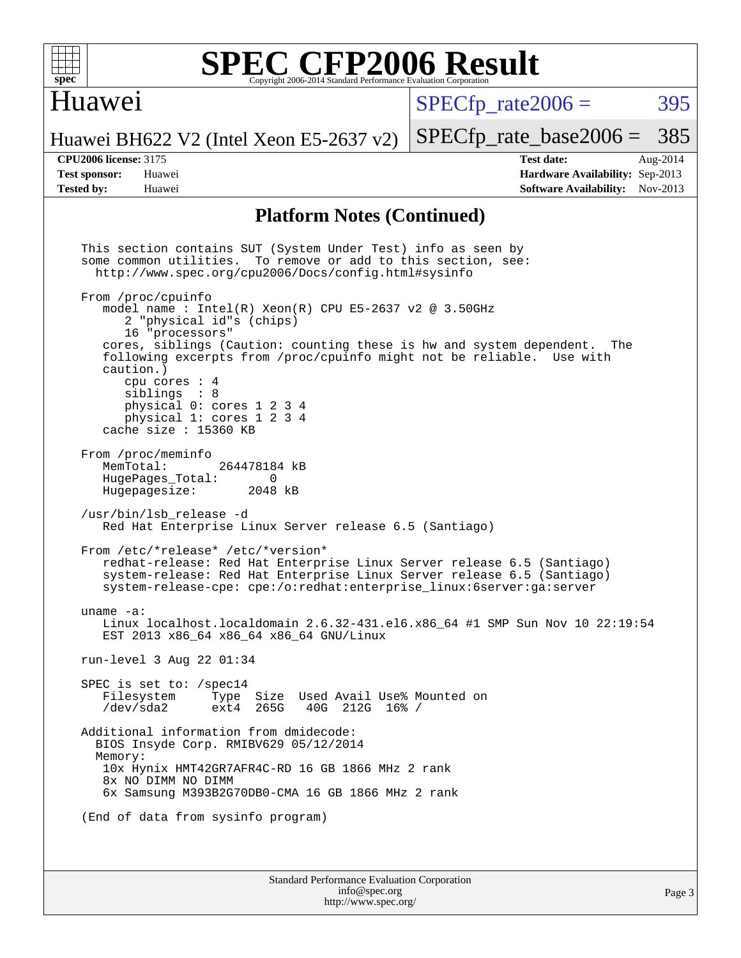

### Huawei

 $SPECTp\_rate2006 = 395$ 

[SPECfp\\_rate\\_base2006 =](http://www.spec.org/auto/cpu2006/Docs/result-fields.html#SPECfpratebase2006) 385

Huawei BH622 V2 (Intel Xeon E5-2637 v2)

**[CPU2006 license:](http://www.spec.org/auto/cpu2006/Docs/result-fields.html#CPU2006license)** 3175 **[Test date:](http://www.spec.org/auto/cpu2006/Docs/result-fields.html#Testdate)** Aug-2014 **[Test sponsor:](http://www.spec.org/auto/cpu2006/Docs/result-fields.html#Testsponsor)** Huawei **[Hardware Availability:](http://www.spec.org/auto/cpu2006/Docs/result-fields.html#HardwareAvailability)** Sep-2013 **[Tested by:](http://www.spec.org/auto/cpu2006/Docs/result-fields.html#Testedby)** Huawei **[Software Availability:](http://www.spec.org/auto/cpu2006/Docs/result-fields.html#SoftwareAvailability)** Nov-2013

#### **[Platform Notes \(Continued\)](http://www.spec.org/auto/cpu2006/Docs/result-fields.html#PlatformNotes)**

Standard Performance Evaluation Corporation [info@spec.org](mailto:info@spec.org) Page 3 This section contains SUT (System Under Test) info as seen by some common utilities. To remove or add to this section, see: <http://www.spec.org/cpu2006/Docs/config.html#sysinfo> From /proc/cpuinfo model name : Intel $(R)$  Xeon $(R)$  CPU E5-2637 v2 @ 3.50GHz 2 "physical id"s (chips) 16 "processors" cores, siblings (Caution: counting these is hw and system dependent. The following excerpts from /proc/cpuinfo might not be reliable. Use with caution.) cpu cores : 4 siblings : 8 physical 0: cores 1 2 3 4 physical 1: cores 1 2 3 4 cache size : 15360 KB From /proc/meminfo<br>MemTotal: 264478184 kB HugePages\_Total: 0<br>Hugepagesize: 2048 kB Hugepagesize: /usr/bin/lsb\_release -d Red Hat Enterprise Linux Server release 6.5 (Santiago) From /etc/\*release\* /etc/\*version\* redhat-release: Red Hat Enterprise Linux Server release 6.5 (Santiago) system-release: Red Hat Enterprise Linux Server release 6.5 (Santiago) system-release-cpe: cpe:/o:redhat:enterprise\_linux:6server:ga:server uname -a: Linux localhost.localdomain 2.6.32-431.el6.x86\_64 #1 SMP Sun Nov 10 22:19:54 EST 2013 x86\_64 x86\_64 x86\_64 GNU/Linux run-level 3 Aug 22 01:34 SPEC is set to: /spec14<br>Filesystem Type Type Size Used Avail Use% Mounted on /dev/sda2 ext4 265G 40G 212G 16% / Additional information from dmidecode: BIOS Insyde Corp. RMIBV629 05/12/2014 Memory: 10x Hynix HMT42GR7AFR4C-RD 16 GB 1866 MHz 2 rank 8x NO DIMM NO DIMM 6x Samsung M393B2G70DB0-CMA 16 GB 1866 MHz 2 rank (End of data from sysinfo program)

<http://www.spec.org/>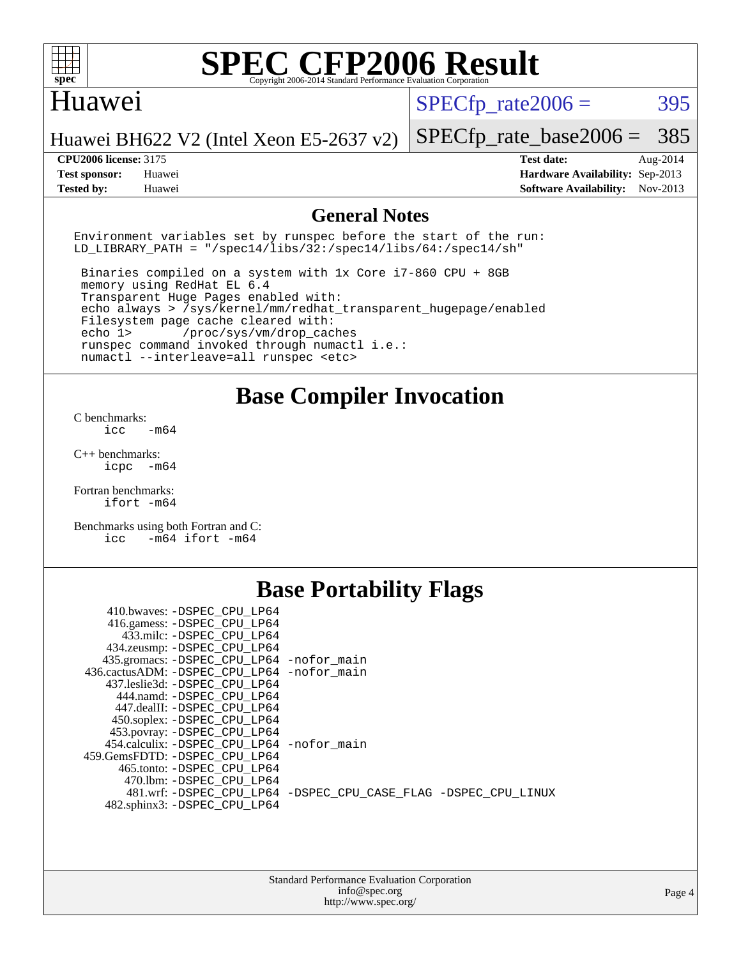

#### Huawei

 $SPECTp\_rate2006 = 395$ 

Huawei BH622 V2 (Intel Xeon E5-2637 v2)

**[Test sponsor:](http://www.spec.org/auto/cpu2006/Docs/result-fields.html#Testsponsor)** Huawei **[Hardware Availability:](http://www.spec.org/auto/cpu2006/Docs/result-fields.html#HardwareAvailability)** Sep-2013

[SPECfp\\_rate\\_base2006 =](http://www.spec.org/auto/cpu2006/Docs/result-fields.html#SPECfpratebase2006) 385 **[CPU2006 license:](http://www.spec.org/auto/cpu2006/Docs/result-fields.html#CPU2006license)** 3175 **[Test date:](http://www.spec.org/auto/cpu2006/Docs/result-fields.html#Testdate)** Aug-2014

**[Tested by:](http://www.spec.org/auto/cpu2006/Docs/result-fields.html#Testedby)** Huawei **[Software Availability:](http://www.spec.org/auto/cpu2006/Docs/result-fields.html#SoftwareAvailability)** Nov-2013

#### **[General Notes](http://www.spec.org/auto/cpu2006/Docs/result-fields.html#GeneralNotes)**

Environment variables set by runspec before the start of the run: LD LIBRARY PATH = "/spec14/libs/32:/spec14/libs/64:/spec14/sh"

 Binaries compiled on a system with 1x Core i7-860 CPU + 8GB memory using RedHat EL 6.4 Transparent Huge Pages enabled with: echo always > /sys/kernel/mm/redhat\_transparent\_hugepage/enabled Filesystem page cache cleared with: echo 1> /proc/sys/vm/drop\_caches runspec command invoked through numactl i.e.: numactl --interleave=all runspec <etc>

**[Base Compiler Invocation](http://www.spec.org/auto/cpu2006/Docs/result-fields.html#BaseCompilerInvocation)**

[C benchmarks](http://www.spec.org/auto/cpu2006/Docs/result-fields.html#Cbenchmarks):  $\text{icc}$   $-\text{m64}$ 

[C++ benchmarks:](http://www.spec.org/auto/cpu2006/Docs/result-fields.html#CXXbenchmarks) [icpc -m64](http://www.spec.org/cpu2006/results/res2014q3/cpu2006-20140826-31064.flags.html#user_CXXbase_intel_icpc_64bit_bedb90c1146cab66620883ef4f41a67e)

[Fortran benchmarks](http://www.spec.org/auto/cpu2006/Docs/result-fields.html#Fortranbenchmarks): [ifort -m64](http://www.spec.org/cpu2006/results/res2014q3/cpu2006-20140826-31064.flags.html#user_FCbase_intel_ifort_64bit_ee9d0fb25645d0210d97eb0527dcc06e)

[Benchmarks using both Fortran and C](http://www.spec.org/auto/cpu2006/Docs/result-fields.html#BenchmarksusingbothFortranandC): [icc -m64](http://www.spec.org/cpu2006/results/res2014q3/cpu2006-20140826-31064.flags.html#user_CC_FCbase_intel_icc_64bit_0b7121f5ab7cfabee23d88897260401c) [ifort -m64](http://www.spec.org/cpu2006/results/res2014q3/cpu2006-20140826-31064.flags.html#user_CC_FCbase_intel_ifort_64bit_ee9d0fb25645d0210d97eb0527dcc06e)

## **[Base Portability Flags](http://www.spec.org/auto/cpu2006/Docs/result-fields.html#BasePortabilityFlags)**

| 410.bwaves: -DSPEC CPU LP64                 |                                                                |
|---------------------------------------------|----------------------------------------------------------------|
| 416.gamess: -DSPEC_CPU_LP64                 |                                                                |
| 433.milc: -DSPEC CPU LP64                   |                                                                |
| 434.zeusmp: - DSPEC_CPU_LP64                |                                                                |
| 435.gromacs: -DSPEC_CPU_LP64 -nofor_main    |                                                                |
| 436.cactusADM: -DSPEC CPU LP64 -nofor main  |                                                                |
| 437.leslie3d: -DSPEC CPU LP64               |                                                                |
| 444.namd: -DSPEC CPU LP64                   |                                                                |
| 447.dealII: -DSPEC_CPU LP64                 |                                                                |
| 450.soplex: -DSPEC_CPU_LP64                 |                                                                |
| 453.povray: -DSPEC CPU LP64                 |                                                                |
| 454.calculix: - DSPEC CPU LP64 - nofor main |                                                                |
| 459. GemsFDTD: - DSPEC CPU LP64             |                                                                |
| 465.tonto: - DSPEC CPU LP64                 |                                                                |
| 470.1bm: - DSPEC CPU LP64                   |                                                                |
|                                             | 481.wrf: -DSPEC CPU_LP64 -DSPEC_CPU_CASE_FLAG -DSPEC_CPU_LINUX |
| 482.sphinx3: -DSPEC_CPU_LP64                |                                                                |
|                                             |                                                                |

| <b>Standard Performance Evaluation Corporation</b> |
|----------------------------------------------------|
| info@spec.org                                      |
| http://www.spec.org/                               |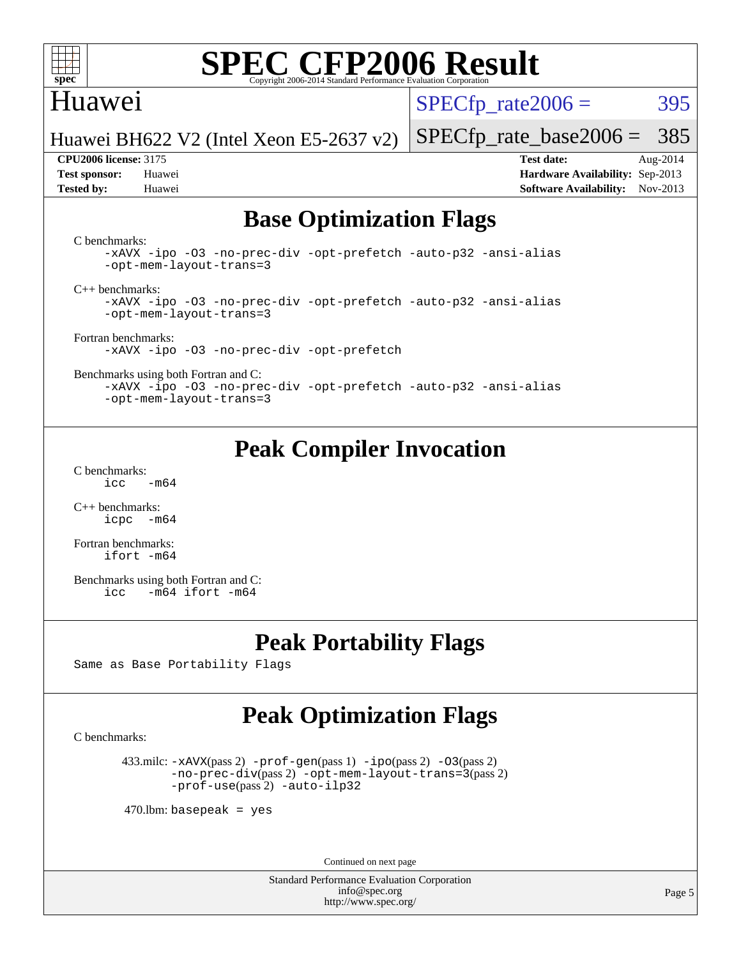

### Huawei

 $SPECTp\_rate2006 = 395$ 

Huawei BH622 V2 (Intel Xeon E5-2637 v2)

**[Tested by:](http://www.spec.org/auto/cpu2006/Docs/result-fields.html#Testedby)** Huawei **[Software Availability:](http://www.spec.org/auto/cpu2006/Docs/result-fields.html#SoftwareAvailability)** Nov-2013

**[CPU2006 license:](http://www.spec.org/auto/cpu2006/Docs/result-fields.html#CPU2006license)** 3175 **[Test date:](http://www.spec.org/auto/cpu2006/Docs/result-fields.html#Testdate)** Aug-2014 **[Test sponsor:](http://www.spec.org/auto/cpu2006/Docs/result-fields.html#Testsponsor)** Huawei **[Hardware Availability:](http://www.spec.org/auto/cpu2006/Docs/result-fields.html#HardwareAvailability)** Sep-2013

[SPECfp\\_rate\\_base2006 =](http://www.spec.org/auto/cpu2006/Docs/result-fields.html#SPECfpratebase2006) 385

## **[Base Optimization Flags](http://www.spec.org/auto/cpu2006/Docs/result-fields.html#BaseOptimizationFlags)**

[C benchmarks](http://www.spec.org/auto/cpu2006/Docs/result-fields.html#Cbenchmarks):

[-xAVX](http://www.spec.org/cpu2006/results/res2014q3/cpu2006-20140826-31064.flags.html#user_CCbase_f-xAVX) [-ipo](http://www.spec.org/cpu2006/results/res2014q3/cpu2006-20140826-31064.flags.html#user_CCbase_f-ipo) [-O3](http://www.spec.org/cpu2006/results/res2014q3/cpu2006-20140826-31064.flags.html#user_CCbase_f-O3) [-no-prec-div](http://www.spec.org/cpu2006/results/res2014q3/cpu2006-20140826-31064.flags.html#user_CCbase_f-no-prec-div) [-opt-prefetch](http://www.spec.org/cpu2006/results/res2014q3/cpu2006-20140826-31064.flags.html#user_CCbase_f-opt-prefetch) [-auto-p32](http://www.spec.org/cpu2006/results/res2014q3/cpu2006-20140826-31064.flags.html#user_CCbase_f-auto-p32) [-ansi-alias](http://www.spec.org/cpu2006/results/res2014q3/cpu2006-20140826-31064.flags.html#user_CCbase_f-ansi-alias) [-opt-mem-layout-trans=3](http://www.spec.org/cpu2006/results/res2014q3/cpu2006-20140826-31064.flags.html#user_CCbase_f-opt-mem-layout-trans_a7b82ad4bd7abf52556d4961a2ae94d5)

[C++ benchmarks:](http://www.spec.org/auto/cpu2006/Docs/result-fields.html#CXXbenchmarks)

[-xAVX](http://www.spec.org/cpu2006/results/res2014q3/cpu2006-20140826-31064.flags.html#user_CXXbase_f-xAVX) [-ipo](http://www.spec.org/cpu2006/results/res2014q3/cpu2006-20140826-31064.flags.html#user_CXXbase_f-ipo) [-O3](http://www.spec.org/cpu2006/results/res2014q3/cpu2006-20140826-31064.flags.html#user_CXXbase_f-O3) [-no-prec-div](http://www.spec.org/cpu2006/results/res2014q3/cpu2006-20140826-31064.flags.html#user_CXXbase_f-no-prec-div) [-opt-prefetch](http://www.spec.org/cpu2006/results/res2014q3/cpu2006-20140826-31064.flags.html#user_CXXbase_f-opt-prefetch) [-auto-p32](http://www.spec.org/cpu2006/results/res2014q3/cpu2006-20140826-31064.flags.html#user_CXXbase_f-auto-p32) [-ansi-alias](http://www.spec.org/cpu2006/results/res2014q3/cpu2006-20140826-31064.flags.html#user_CXXbase_f-ansi-alias) [-opt-mem-layout-trans=3](http://www.spec.org/cpu2006/results/res2014q3/cpu2006-20140826-31064.flags.html#user_CXXbase_f-opt-mem-layout-trans_a7b82ad4bd7abf52556d4961a2ae94d5)

[Fortran benchmarks](http://www.spec.org/auto/cpu2006/Docs/result-fields.html#Fortranbenchmarks):

[-xAVX](http://www.spec.org/cpu2006/results/res2014q3/cpu2006-20140826-31064.flags.html#user_FCbase_f-xAVX) [-ipo](http://www.spec.org/cpu2006/results/res2014q3/cpu2006-20140826-31064.flags.html#user_FCbase_f-ipo) [-O3](http://www.spec.org/cpu2006/results/res2014q3/cpu2006-20140826-31064.flags.html#user_FCbase_f-O3) [-no-prec-div](http://www.spec.org/cpu2006/results/res2014q3/cpu2006-20140826-31064.flags.html#user_FCbase_f-no-prec-div) [-opt-prefetch](http://www.spec.org/cpu2006/results/res2014q3/cpu2006-20140826-31064.flags.html#user_FCbase_f-opt-prefetch)

[Benchmarks using both Fortran and C](http://www.spec.org/auto/cpu2006/Docs/result-fields.html#BenchmarksusingbothFortranandC):

[-xAVX](http://www.spec.org/cpu2006/results/res2014q3/cpu2006-20140826-31064.flags.html#user_CC_FCbase_f-xAVX) [-ipo](http://www.spec.org/cpu2006/results/res2014q3/cpu2006-20140826-31064.flags.html#user_CC_FCbase_f-ipo) [-O3](http://www.spec.org/cpu2006/results/res2014q3/cpu2006-20140826-31064.flags.html#user_CC_FCbase_f-O3) [-no-prec-div](http://www.spec.org/cpu2006/results/res2014q3/cpu2006-20140826-31064.flags.html#user_CC_FCbase_f-no-prec-div) [-opt-prefetch](http://www.spec.org/cpu2006/results/res2014q3/cpu2006-20140826-31064.flags.html#user_CC_FCbase_f-opt-prefetch) [-auto-p32](http://www.spec.org/cpu2006/results/res2014q3/cpu2006-20140826-31064.flags.html#user_CC_FCbase_f-auto-p32) [-ansi-alias](http://www.spec.org/cpu2006/results/res2014q3/cpu2006-20140826-31064.flags.html#user_CC_FCbase_f-ansi-alias) [-opt-mem-layout-trans=3](http://www.spec.org/cpu2006/results/res2014q3/cpu2006-20140826-31064.flags.html#user_CC_FCbase_f-opt-mem-layout-trans_a7b82ad4bd7abf52556d4961a2ae94d5)

## **[Peak Compiler Invocation](http://www.spec.org/auto/cpu2006/Docs/result-fields.html#PeakCompilerInvocation)**

[C benchmarks](http://www.spec.org/auto/cpu2006/Docs/result-fields.html#Cbenchmarks):  $\text{icc}$  -m64

[C++ benchmarks:](http://www.spec.org/auto/cpu2006/Docs/result-fields.html#CXXbenchmarks) [icpc -m64](http://www.spec.org/cpu2006/results/res2014q3/cpu2006-20140826-31064.flags.html#user_CXXpeak_intel_icpc_64bit_bedb90c1146cab66620883ef4f41a67e)

[Fortran benchmarks](http://www.spec.org/auto/cpu2006/Docs/result-fields.html#Fortranbenchmarks): [ifort -m64](http://www.spec.org/cpu2006/results/res2014q3/cpu2006-20140826-31064.flags.html#user_FCpeak_intel_ifort_64bit_ee9d0fb25645d0210d97eb0527dcc06e)

[Benchmarks using both Fortran and C](http://www.spec.org/auto/cpu2006/Docs/result-fields.html#BenchmarksusingbothFortranandC): [icc -m64](http://www.spec.org/cpu2006/results/res2014q3/cpu2006-20140826-31064.flags.html#user_CC_FCpeak_intel_icc_64bit_0b7121f5ab7cfabee23d88897260401c) [ifort -m64](http://www.spec.org/cpu2006/results/res2014q3/cpu2006-20140826-31064.flags.html#user_CC_FCpeak_intel_ifort_64bit_ee9d0fb25645d0210d97eb0527dcc06e)

### **[Peak Portability Flags](http://www.spec.org/auto/cpu2006/Docs/result-fields.html#PeakPortabilityFlags)**

Same as Base Portability Flags

## **[Peak Optimization Flags](http://www.spec.org/auto/cpu2006/Docs/result-fields.html#PeakOptimizationFlags)**

[C benchmarks](http://www.spec.org/auto/cpu2006/Docs/result-fields.html#Cbenchmarks):

 433.milc: [-xAVX](http://www.spec.org/cpu2006/results/res2014q3/cpu2006-20140826-31064.flags.html#user_peakPASS2_CFLAGSPASS2_LDFLAGS433_milc_f-xAVX)(pass 2) [-prof-gen](http://www.spec.org/cpu2006/results/res2014q3/cpu2006-20140826-31064.flags.html#user_peakPASS1_CFLAGSPASS1_LDFLAGS433_milc_prof_gen_e43856698f6ca7b7e442dfd80e94a8fc)(pass 1) [-ipo](http://www.spec.org/cpu2006/results/res2014q3/cpu2006-20140826-31064.flags.html#user_peakPASS2_CFLAGSPASS2_LDFLAGS433_milc_f-ipo)(pass 2) [-O3](http://www.spec.org/cpu2006/results/res2014q3/cpu2006-20140826-31064.flags.html#user_peakPASS2_CFLAGSPASS2_LDFLAGS433_milc_f-O3)(pass 2) [-no-prec-div](http://www.spec.org/cpu2006/results/res2014q3/cpu2006-20140826-31064.flags.html#user_peakPASS2_CFLAGSPASS2_LDFLAGS433_milc_f-no-prec-div)(pass 2) [-opt-mem-layout-trans=3](http://www.spec.org/cpu2006/results/res2014q3/cpu2006-20140826-31064.flags.html#user_peakPASS2_CFLAGS433_milc_f-opt-mem-layout-trans_a7b82ad4bd7abf52556d4961a2ae94d5)(pass 2) [-prof-use](http://www.spec.org/cpu2006/results/res2014q3/cpu2006-20140826-31064.flags.html#user_peakPASS2_CFLAGSPASS2_LDFLAGS433_milc_prof_use_bccf7792157ff70d64e32fe3e1250b55)(pass 2) [-auto-ilp32](http://www.spec.org/cpu2006/results/res2014q3/cpu2006-20140826-31064.flags.html#user_peakCOPTIMIZE433_milc_f-auto-ilp32)

 $470$ .lbm: basepeak = yes

Continued on next page

Standard Performance Evaluation Corporation [info@spec.org](mailto:info@spec.org) <http://www.spec.org/>

Page 5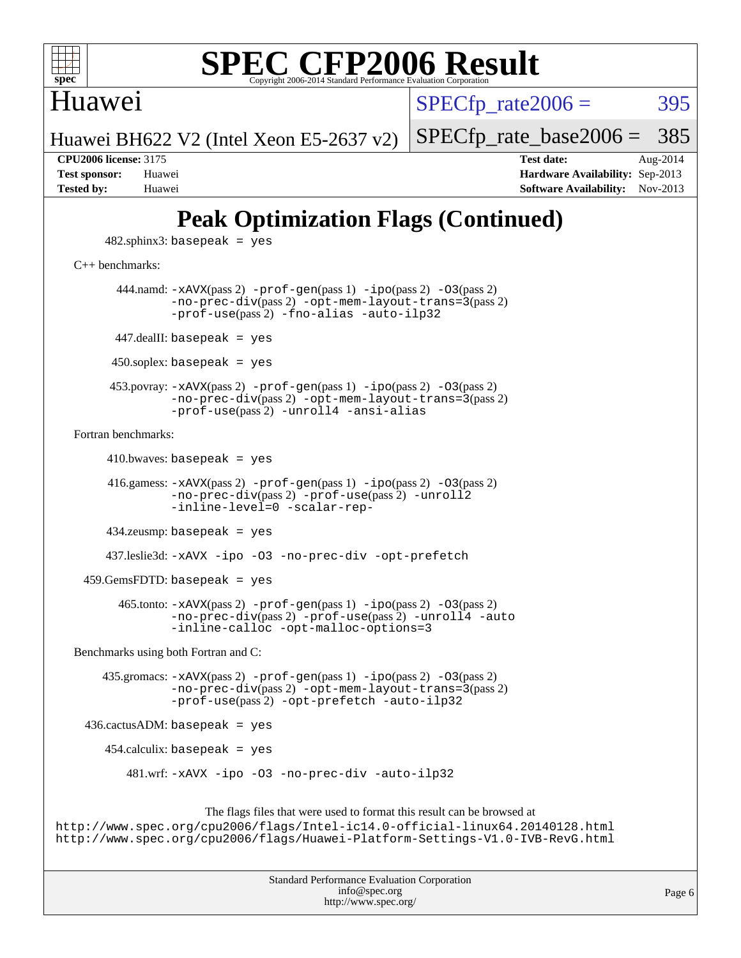

### Huawei

 $SPECTp\_rate2006 = 395$ 

[SPECfp\\_rate\\_base2006 =](http://www.spec.org/auto/cpu2006/Docs/result-fields.html#SPECfpratebase2006) 385

Huawei BH622 V2 (Intel Xeon E5-2637 v2)

**[CPU2006 license:](http://www.spec.org/auto/cpu2006/Docs/result-fields.html#CPU2006license)** 3175 **[Test date:](http://www.spec.org/auto/cpu2006/Docs/result-fields.html#Testdate)** Aug-2014 **[Test sponsor:](http://www.spec.org/auto/cpu2006/Docs/result-fields.html#Testsponsor)** Huawei **[Hardware Availability:](http://www.spec.org/auto/cpu2006/Docs/result-fields.html#HardwareAvailability)** Sep-2013 **[Tested by:](http://www.spec.org/auto/cpu2006/Docs/result-fields.html#Testedby)** Huawei **[Software Availability:](http://www.spec.org/auto/cpu2006/Docs/result-fields.html#SoftwareAvailability)** Nov-2013

## **[Peak Optimization Flags \(Continued\)](http://www.spec.org/auto/cpu2006/Docs/result-fields.html#PeakOptimizationFlags)**

 $482$ .sphinx $3$ : basepeak = yes

[C++ benchmarks:](http://www.spec.org/auto/cpu2006/Docs/result-fields.html#CXXbenchmarks)

444.namd:  $-x$ AVX(pass 2)  $-p$ rof-gen(pass 1)  $-p$ ipo(pass 2)  $-03$ (pass 2) [-no-prec-div](http://www.spec.org/cpu2006/results/res2014q3/cpu2006-20140826-31064.flags.html#user_peakPASS2_CXXFLAGSPASS2_LDFLAGS444_namd_f-no-prec-div)(pass 2) [-opt-mem-layout-trans=3](http://www.spec.org/cpu2006/results/res2014q3/cpu2006-20140826-31064.flags.html#user_peakPASS2_CXXFLAGS444_namd_f-opt-mem-layout-trans_a7b82ad4bd7abf52556d4961a2ae94d5)(pass 2) [-prof-use](http://www.spec.org/cpu2006/results/res2014q3/cpu2006-20140826-31064.flags.html#user_peakPASS2_CXXFLAGSPASS2_LDFLAGS444_namd_prof_use_bccf7792157ff70d64e32fe3e1250b55)(pass 2) [-fno-alias](http://www.spec.org/cpu2006/results/res2014q3/cpu2006-20140826-31064.flags.html#user_peakCXXOPTIMIZE444_namd_f-no-alias_694e77f6c5a51e658e82ccff53a9e63a) [-auto-ilp32](http://www.spec.org/cpu2006/results/res2014q3/cpu2006-20140826-31064.flags.html#user_peakCXXOPTIMIZE444_namd_f-auto-ilp32)  $447$ .dealII: basepeak = yes 450.soplex: basepeak = yes 453.povray: [-xAVX](http://www.spec.org/cpu2006/results/res2014q3/cpu2006-20140826-31064.flags.html#user_peakPASS2_CXXFLAGSPASS2_LDFLAGS453_povray_f-xAVX)(pass 2) [-prof-gen](http://www.spec.org/cpu2006/results/res2014q3/cpu2006-20140826-31064.flags.html#user_peakPASS1_CXXFLAGSPASS1_LDFLAGS453_povray_prof_gen_e43856698f6ca7b7e442dfd80e94a8fc)(pass 1) [-ipo](http://www.spec.org/cpu2006/results/res2014q3/cpu2006-20140826-31064.flags.html#user_peakPASS2_CXXFLAGSPASS2_LDFLAGS453_povray_f-ipo)(pass 2) [-O3](http://www.spec.org/cpu2006/results/res2014q3/cpu2006-20140826-31064.flags.html#user_peakPASS2_CXXFLAGSPASS2_LDFLAGS453_povray_f-O3)(pass 2) [-no-prec-div](http://www.spec.org/cpu2006/results/res2014q3/cpu2006-20140826-31064.flags.html#user_peakPASS2_CXXFLAGSPASS2_LDFLAGS453_povray_f-no-prec-div)(pass 2) [-opt-mem-layout-trans=3](http://www.spec.org/cpu2006/results/res2014q3/cpu2006-20140826-31064.flags.html#user_peakPASS2_CXXFLAGS453_povray_f-opt-mem-layout-trans_a7b82ad4bd7abf52556d4961a2ae94d5)(pass 2) [-prof-use](http://www.spec.org/cpu2006/results/res2014q3/cpu2006-20140826-31064.flags.html#user_peakPASS2_CXXFLAGSPASS2_LDFLAGS453_povray_prof_use_bccf7792157ff70d64e32fe3e1250b55)(pass 2) [-unroll4](http://www.spec.org/cpu2006/results/res2014q3/cpu2006-20140826-31064.flags.html#user_peakCXXOPTIMIZE453_povray_f-unroll_4e5e4ed65b7fd20bdcd365bec371b81f) [-ansi-alias](http://www.spec.org/cpu2006/results/res2014q3/cpu2006-20140826-31064.flags.html#user_peakCXXOPTIMIZE453_povray_f-ansi-alias) [Fortran benchmarks](http://www.spec.org/auto/cpu2006/Docs/result-fields.html#Fortranbenchmarks):  $410.bwaves: basepeak = yes$  416.gamess: [-xAVX](http://www.spec.org/cpu2006/results/res2014q3/cpu2006-20140826-31064.flags.html#user_peakPASS2_FFLAGSPASS2_LDFLAGS416_gamess_f-xAVX)(pass 2) [-prof-gen](http://www.spec.org/cpu2006/results/res2014q3/cpu2006-20140826-31064.flags.html#user_peakPASS1_FFLAGSPASS1_LDFLAGS416_gamess_prof_gen_e43856698f6ca7b7e442dfd80e94a8fc)(pass 1) [-ipo](http://www.spec.org/cpu2006/results/res2014q3/cpu2006-20140826-31064.flags.html#user_peakPASS2_FFLAGSPASS2_LDFLAGS416_gamess_f-ipo)(pass 2) [-O3](http://www.spec.org/cpu2006/results/res2014q3/cpu2006-20140826-31064.flags.html#user_peakPASS2_FFLAGSPASS2_LDFLAGS416_gamess_f-O3)(pass 2) [-no-prec-div](http://www.spec.org/cpu2006/results/res2014q3/cpu2006-20140826-31064.flags.html#user_peakPASS2_FFLAGSPASS2_LDFLAGS416_gamess_f-no-prec-div)(pass 2) [-prof-use](http://www.spec.org/cpu2006/results/res2014q3/cpu2006-20140826-31064.flags.html#user_peakPASS2_FFLAGSPASS2_LDFLAGS416_gamess_prof_use_bccf7792157ff70d64e32fe3e1250b55)(pass 2) [-unroll2](http://www.spec.org/cpu2006/results/res2014q3/cpu2006-20140826-31064.flags.html#user_peakOPTIMIZE416_gamess_f-unroll_784dae83bebfb236979b41d2422d7ec2) [-inline-level=0](http://www.spec.org/cpu2006/results/res2014q3/cpu2006-20140826-31064.flags.html#user_peakOPTIMIZE416_gamess_f-inline-level_318d07a09274ad25e8d15dbfaa68ba50) [-scalar-rep-](http://www.spec.org/cpu2006/results/res2014q3/cpu2006-20140826-31064.flags.html#user_peakOPTIMIZE416_gamess_f-disablescalarrep_abbcad04450fb118e4809c81d83c8a1d) 434.zeusmp: basepeak = yes

437.leslie3d: [-xAVX](http://www.spec.org/cpu2006/results/res2014q3/cpu2006-20140826-31064.flags.html#user_peakOPTIMIZE437_leslie3d_f-xAVX) [-ipo](http://www.spec.org/cpu2006/results/res2014q3/cpu2006-20140826-31064.flags.html#user_peakOPTIMIZE437_leslie3d_f-ipo) [-O3](http://www.spec.org/cpu2006/results/res2014q3/cpu2006-20140826-31064.flags.html#user_peakOPTIMIZE437_leslie3d_f-O3) [-no-prec-div](http://www.spec.org/cpu2006/results/res2014q3/cpu2006-20140826-31064.flags.html#user_peakOPTIMIZE437_leslie3d_f-no-prec-div) [-opt-prefetch](http://www.spec.org/cpu2006/results/res2014q3/cpu2006-20140826-31064.flags.html#user_peakOPTIMIZE437_leslie3d_f-opt-prefetch)

459.GemsFDTD: basepeak = yes

 465.tonto: [-xAVX](http://www.spec.org/cpu2006/results/res2014q3/cpu2006-20140826-31064.flags.html#user_peakPASS2_FFLAGSPASS2_LDFLAGS465_tonto_f-xAVX)(pass 2) [-prof-gen](http://www.spec.org/cpu2006/results/res2014q3/cpu2006-20140826-31064.flags.html#user_peakPASS1_FFLAGSPASS1_LDFLAGS465_tonto_prof_gen_e43856698f6ca7b7e442dfd80e94a8fc)(pass 1) [-ipo](http://www.spec.org/cpu2006/results/res2014q3/cpu2006-20140826-31064.flags.html#user_peakPASS2_FFLAGSPASS2_LDFLAGS465_tonto_f-ipo)(pass 2) [-O3](http://www.spec.org/cpu2006/results/res2014q3/cpu2006-20140826-31064.flags.html#user_peakPASS2_FFLAGSPASS2_LDFLAGS465_tonto_f-O3)(pass 2) [-no-prec-div](http://www.spec.org/cpu2006/results/res2014q3/cpu2006-20140826-31064.flags.html#user_peakPASS2_FFLAGSPASS2_LDFLAGS465_tonto_f-no-prec-div)(pass 2) [-prof-use](http://www.spec.org/cpu2006/results/res2014q3/cpu2006-20140826-31064.flags.html#user_peakPASS2_FFLAGSPASS2_LDFLAGS465_tonto_prof_use_bccf7792157ff70d64e32fe3e1250b55)(pass 2) [-unroll4](http://www.spec.org/cpu2006/results/res2014q3/cpu2006-20140826-31064.flags.html#user_peakOPTIMIZE465_tonto_f-unroll_4e5e4ed65b7fd20bdcd365bec371b81f) [-auto](http://www.spec.org/cpu2006/results/res2014q3/cpu2006-20140826-31064.flags.html#user_peakOPTIMIZE465_tonto_f-auto) [-inline-calloc](http://www.spec.org/cpu2006/results/res2014q3/cpu2006-20140826-31064.flags.html#user_peakOPTIMIZE465_tonto_f-inline-calloc) [-opt-malloc-options=3](http://www.spec.org/cpu2006/results/res2014q3/cpu2006-20140826-31064.flags.html#user_peakOPTIMIZE465_tonto_f-opt-malloc-options_13ab9b803cf986b4ee62f0a5998c2238)

[Benchmarks using both Fortran and C](http://www.spec.org/auto/cpu2006/Docs/result-fields.html#BenchmarksusingbothFortranandC):

 435.gromacs: [-xAVX](http://www.spec.org/cpu2006/results/res2014q3/cpu2006-20140826-31064.flags.html#user_peakPASS2_CFLAGSPASS2_FFLAGSPASS2_LDFLAGS435_gromacs_f-xAVX)(pass 2) [-prof-gen](http://www.spec.org/cpu2006/results/res2014q3/cpu2006-20140826-31064.flags.html#user_peakPASS1_CFLAGSPASS1_FFLAGSPASS1_LDFLAGS435_gromacs_prof_gen_e43856698f6ca7b7e442dfd80e94a8fc)(pass 1) [-ipo](http://www.spec.org/cpu2006/results/res2014q3/cpu2006-20140826-31064.flags.html#user_peakPASS2_CFLAGSPASS2_FFLAGSPASS2_LDFLAGS435_gromacs_f-ipo)(pass 2) [-O3](http://www.spec.org/cpu2006/results/res2014q3/cpu2006-20140826-31064.flags.html#user_peakPASS2_CFLAGSPASS2_FFLAGSPASS2_LDFLAGS435_gromacs_f-O3)(pass 2) [-no-prec-div](http://www.spec.org/cpu2006/results/res2014q3/cpu2006-20140826-31064.flags.html#user_peakPASS2_CFLAGSPASS2_FFLAGSPASS2_LDFLAGS435_gromacs_f-no-prec-div)(pass 2) [-opt-mem-layout-trans=3](http://www.spec.org/cpu2006/results/res2014q3/cpu2006-20140826-31064.flags.html#user_peakPASS2_CFLAGS435_gromacs_f-opt-mem-layout-trans_a7b82ad4bd7abf52556d4961a2ae94d5)(pass 2) [-prof-use](http://www.spec.org/cpu2006/results/res2014q3/cpu2006-20140826-31064.flags.html#user_peakPASS2_CFLAGSPASS2_FFLAGSPASS2_LDFLAGS435_gromacs_prof_use_bccf7792157ff70d64e32fe3e1250b55)(pass 2) [-opt-prefetch](http://www.spec.org/cpu2006/results/res2014q3/cpu2006-20140826-31064.flags.html#user_peakOPTIMIZE435_gromacs_f-opt-prefetch) [-auto-ilp32](http://www.spec.org/cpu2006/results/res2014q3/cpu2006-20140826-31064.flags.html#user_peakCOPTIMIZE435_gromacs_f-auto-ilp32)

436.cactusADM: basepeak = yes

454.calculix: basepeak = yes

481.wrf: [-xAVX](http://www.spec.org/cpu2006/results/res2014q3/cpu2006-20140826-31064.flags.html#user_peakOPTIMIZE481_wrf_f-xAVX) [-ipo](http://www.spec.org/cpu2006/results/res2014q3/cpu2006-20140826-31064.flags.html#user_peakOPTIMIZE481_wrf_f-ipo) [-O3](http://www.spec.org/cpu2006/results/res2014q3/cpu2006-20140826-31064.flags.html#user_peakOPTIMIZE481_wrf_f-O3) [-no-prec-div](http://www.spec.org/cpu2006/results/res2014q3/cpu2006-20140826-31064.flags.html#user_peakOPTIMIZE481_wrf_f-no-prec-div) [-auto-ilp32](http://www.spec.org/cpu2006/results/res2014q3/cpu2006-20140826-31064.flags.html#user_peakCOPTIMIZE481_wrf_f-auto-ilp32)

The flags files that were used to format this result can be browsed at

<http://www.spec.org/cpu2006/flags/Intel-ic14.0-official-linux64.20140128.html> <http://www.spec.org/cpu2006/flags/Huawei-Platform-Settings-V1.0-IVB-RevG.html>

| <b>Standard Performance Evaluation Corporation</b> |
|----------------------------------------------------|
| info@spec.org                                      |
| http://www.spec.org/                               |